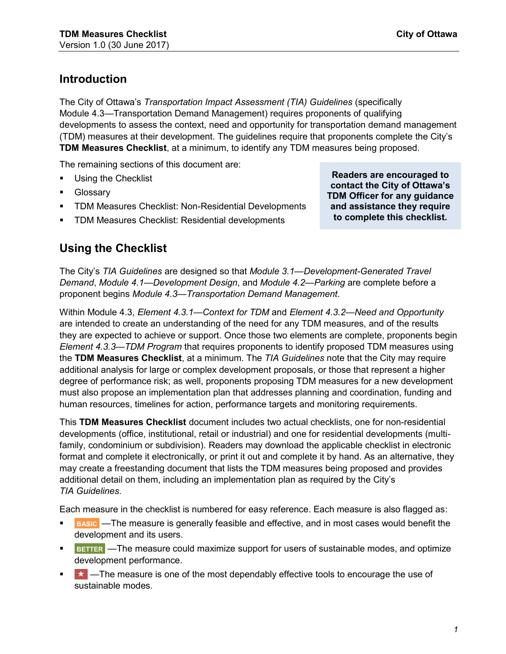## **Introduction**

The City of Ottawa's *Transportation Impact Assessment (TIA) Guidelines* (specifically Module 4.3—Transportation Demand Management) requires proponents of qualifying developments to assess the context, need and opportunity for transportation demand management (TDM) measures at their development. The guidelines require that proponents complete the City's **TDM Measures Checklist**, at a minimum, to identify any TDM measures being proposed.

The remaining sections of this document are:

- [Using the Checklist](#page-0-0)
- [Glossary](#page-1-0)
- [TDM Measures Checklist: Non-Residential Developments](#page-7-0)
- [TDM Measures Checklist: Residential developments](#page-11-0)

<span id="page-0-0"></span>**Using the Checklist** 

The City's *TIA Guidelines* are designed so that *Module 3.1—Development-Generated Travel Demand*, *Module 4.1—Development Design*, and *Module 4.2—Parking* are complete before a proponent begins *Module 4.3—Transportation Demand Management*.

Within Module 4.3, *Element 4.3.1—Context for TDM* and *Element 4.3.2—Need and Opportunity* are intended to create an understanding of the need for any TDM measures, and of the results they are expected to achieve or support. Once those two elements are complete, proponents begin *Element 4.3.3—TDM Program* that requires proponents to identify proposed TDM measures using the **TDM Measures Checklist**, at a minimum. The *TIA Guidelines* note that the City may require additional analysis for large or complex development proposals, or those that represent a higher degree of performance risk; as well, proponents proposing TDM measures for a new development must also propose an implementation plan that addresses planning and coordination, funding and human resources, timelines for action, performance targets and monitoring requirements.

This **TDM Measures Checklist** document includes two actual checklists, one for non-residential developments (office, institutional, retail or industrial) and one for residential developments (multifamily, condominium or subdivision). Readers may download the applicable checklist in electronic format and complete it electronically, or print it out and complete it by hand. As an alternative, they may create a freestanding document that lists the TDM measures being proposed and provides additional detail on them, including an implementation plan as required by the City's *TIA Guidelines*.

Each measure in the checklist is numbered for easy reference. Each measure is also flagged as:

- **BASIC** —The measure is generally feasible and effective, and in most cases would benefit the development and its users.
- **BETTER** —The measure could maximize support for users of sustainable modes, and optimize development performance.
- $\star$  -The measure is one of the most dependably effective tools to encourage the use of sustainable modes.

**Readers are encouraged to contact the City of Ottawa's TDM Officer for any guidance and assistance they require to complete this checklist.**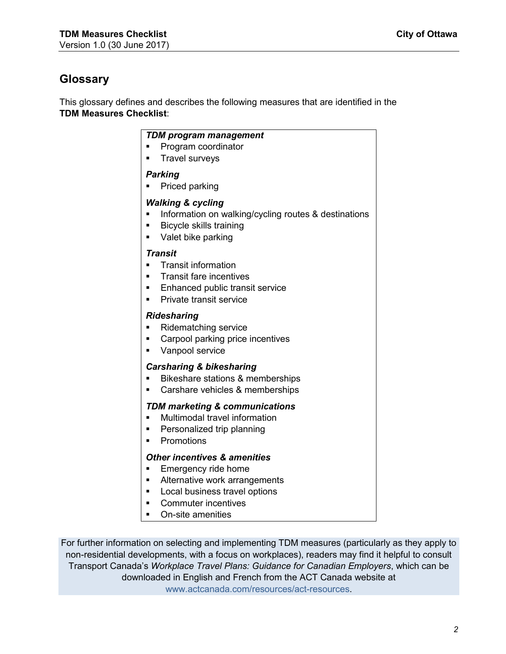# <span id="page-1-0"></span>**Glossary**

This glossary defines and describes the following measures that are identified in the **TDM Measures Checklist**:

#### *TDM program management*

- Program coordinator
- Travel surveys

#### *Parking*

• Priced parking

#### *Walking & cycling*

- Information on walking/cycling routes & destinations
- Bicycle skills training
- Valet bike parking

#### *Transit*

- Transit information
- Transit fare incentives
- Enhanced public transit service
- Private transit service

#### *Ridesharing*

- Ridematching service
- Carpool parking price incentives
- Vanpool service

#### *Carsharing & bikesharing*

- Bikeshare stations & memberships
- Carshare vehicles & memberships

#### *TDM marketing & communications*

- Multimodal travel information
- Personalized trip planning
- Promotions

#### *Other incentives & amenities*

- Emergency ride home
- Alternative work arrangements
- Local business travel options
- Commuter incentives
- On-site amenities

For further information on selecting and implementing TDM measures (particularly as they apply to non-residential developments, with a focus on workplaces), readers may find it helpful to consult Transport Canada's *Workplace Travel Plans: Guidance for Canadian Employers*, which can be downloaded in English and French from the ACT Canada website at [www.actcanada.com/resources/act-resources](http://www.actcanada.com/resources/act-resources).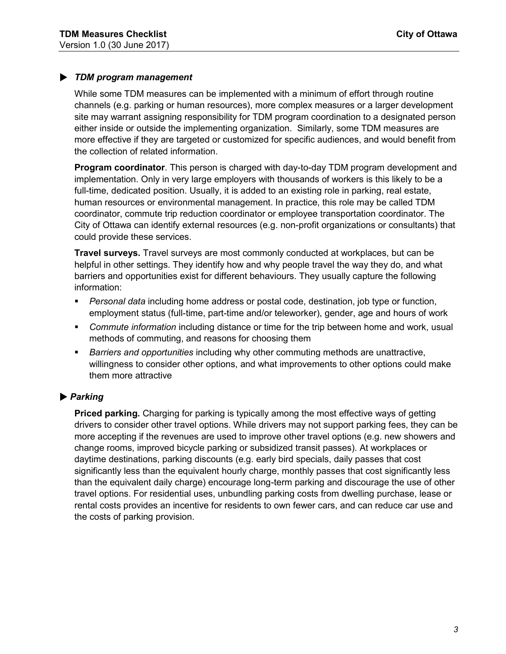#### • *TDM program management*

While some TDM measures can be implemented with a minimum of effort through routine channels (e.g. parking or human resources), more complex measures or a larger development site may warrant assigning responsibility for TDM program coordination to a designated person either inside or outside the implementing organization. Similarly, some TDM measures are more effective if they are targeted or customized for specific audiences, and would benefit from the collection of related information.

**Program coordinator**. This person is charged with day-to-day TDM program development and implementation. Only in very large employers with thousands of workers is this likely to be a full-time, dedicated position. Usually, it is added to an existing role in parking, real estate, human resources or environmental management. In practice, this role may be called TDM coordinator, commute trip reduction coordinator or employee transportation coordinator. The City of Ottawa can identify external resources (e.g. non-profit organizations or consultants) that could provide these services.

**Travel surveys.** Travel surveys are most commonly conducted at workplaces, but can be helpful in other settings. They identify how and why people travel the way they do, and what barriers and opportunities exist for different behaviours. They usually capture the following information:

- *Personal data* including home address or postal code, destination, job type or function, employment status (full-time, part-time and/or teleworker), gender, age and hours of work
- *Commute information* including distance or time for the trip between home and work, usual methods of commuting, and reasons for choosing them
- *Barriers and opportunities* including why other commuting methods are unattractive, willingness to consider other options, and what improvements to other options could make them more attractive

#### • *Parking*

**Priced parking.** Charging for parking is typically among the most effective ways of getting drivers to consider other travel options. While drivers may not support parking fees, they can be more accepting if the revenues are used to improve other travel options (e.g. new showers and change rooms, improved bicycle parking or subsidized transit passes). At workplaces or daytime destinations, parking discounts (e.g. early bird specials, daily passes that cost significantly less than the equivalent hourly charge, monthly passes that cost significantly less than the equivalent daily charge) encourage long-term parking and discourage the use of other travel options. For residential uses, unbundling parking costs from dwelling purchase, lease or rental costs provides an incentive for residents to own fewer cars, and can reduce car use and the costs of parking provision.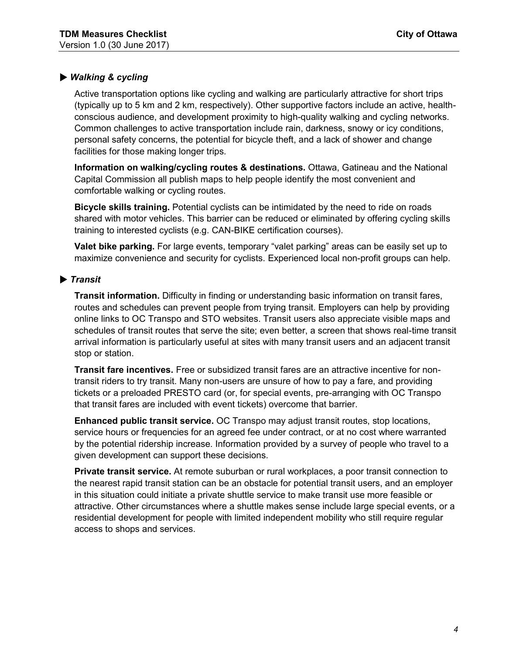#### • *Walking & cycling*

Active transportation options like cycling and walking are particularly attractive for short trips (typically up to 5 km and 2 km, respectively). Other supportive factors include an active, healthconscious audience, and development proximity to high-quality walking and cycling networks. Common challenges to active transportation include rain, darkness, snowy or icy conditions, personal safety concerns, the potential for bicycle theft, and a lack of shower and change facilities for those making longer trips.

**Information on walking/cycling routes & destinations.** Ottawa, Gatineau and the National Capital Commission all publish maps to help people identify the most convenient and comfortable walking or cycling routes.

**Bicycle skills training.** Potential cyclists can be intimidated by the need to ride on roads shared with motor vehicles. This barrier can be reduced or eliminated by offering cycling skills training to interested cyclists (e.g. CAN-BIKE certification courses).

**Valet bike parking.** For large events, temporary "valet parking" areas can be easily set up to maximize convenience and security for cyclists. Experienced local non-profit groups can help.

#### • *Transit*

**Transit information.** Difficulty in finding or understanding basic information on transit fares, routes and schedules can prevent people from trying transit. Employers can help by providing online links to OC Transpo and STO websites. Transit users also appreciate visible maps and schedules of transit routes that serve the site; even better, a screen that shows real-time transit arrival information is particularly useful at sites with many transit users and an adjacent transit stop or station.

**Transit fare incentives.** Free or subsidized transit fares are an attractive incentive for nontransit riders to try transit. Many non-users are unsure of how to pay a fare, and providing tickets or a preloaded PRESTO card (or, for special events, pre-arranging with OC Transpo that transit fares are included with event tickets) overcome that barrier.

**Enhanced public transit service.** OC Transpo may adjust transit routes, stop locations, service hours or frequencies for an agreed fee under contract, or at no cost where warranted by the potential ridership increase. Information provided by a survey of people who travel to a given development can support these decisions.

**Private transit service.** At remote suburban or rural workplaces, a poor transit connection to the nearest rapid transit station can be an obstacle for potential transit users, and an employer in this situation could initiate a private shuttle service to make transit use more feasible or attractive. Other circumstances where a shuttle makes sense include large special events, or a residential development for people with limited independent mobility who still require regular access to shops and services.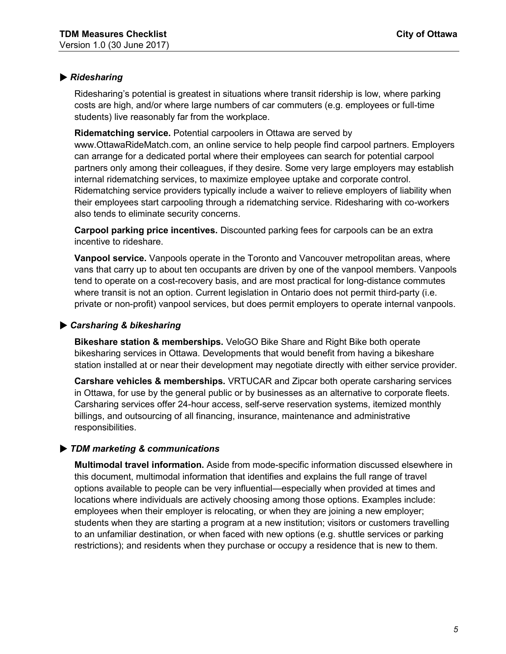#### • *Ridesharing*

Ridesharing's potential is greatest in situations where transit ridership is low, where parking costs are high, and/or where large numbers of car commuters (e.g. employees or full-time students) live reasonably far from the workplace.

**Ridematching service.** Potential carpoolers in Ottawa are served by [www.OttawaRideMatch.com](http://www.OttawaRideMatch.com), an online service to help people find carpool partners. Employers can arrange for a dedicated portal where their employees can search for potential carpool partners only among their colleagues, if they desire. Some very large employers may establish internal ridematching services, to maximize employee uptake and corporate control. Ridematching service providers typically include a waiver to relieve employers of liability when their employees start carpooling through a ridematching service. Ridesharing with co-workers also tends to eliminate security concerns.

**Carpool parking price incentives.** Discounted parking fees for carpools can be an extra incentive to rideshare.

**Vanpool service.** Vanpools operate in the Toronto and Vancouver metropolitan areas, where vans that carry up to about ten occupants are driven by one of the vanpool members. Vanpools tend to operate on a cost-recovery basis, and are most practical for long-distance commutes where transit is not an option. Current legislation in Ontario does not permit third-party (i.e. private or non-profit) vanpool services, but does permit employers to operate internal vanpools.

#### • *Carsharing & bikesharing*

**Bikeshare station & memberships.** VeloGO Bike Share and Right Bike both operate bikesharing services in Ottawa. Developments that would benefit from having a bikeshare station installed at or near their development may negotiate directly with either service provider.

**Carshare vehicles & memberships.** VRTUCAR and Zipcar both operate carsharing services in Ottawa, for use by the general public or by businesses as an alternative to corporate fleets. Carsharing services offer 24-hour access, self-serve reservation systems, itemized monthly billings, and outsourcing of all financing, insurance, maintenance and administrative responsibilities.

#### • *TDM marketing & communications*

**Multimodal travel information.** Aside from mode-specific information discussed elsewhere in this document, multimodal information that identifies and explains the full range of travel options available to people can be very influential—especially when provided at times and locations where individuals are actively choosing among those options. Examples include: employees when their employer is relocating, or when they are joining a new employer; students when they are starting a program at a new institution; visitors or customers travelling to an unfamiliar destination, or when faced with new options (e.g. shuttle services or parking restrictions); and residents when they purchase or occupy a residence that is new to them.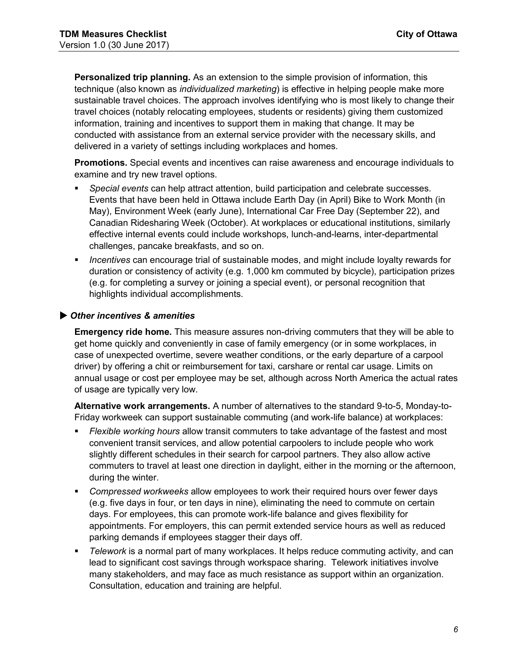**Personalized trip planning.** As an extension to the simple provision of information, this technique (also known as *individualized marketing*) is effective in helping people make more sustainable travel choices. The approach involves identifying who is most likely to change their travel choices (notably relocating employees, students or residents) giving them customized information, training and incentives to support them in making that change. It may be conducted with assistance from an external service provider with the necessary skills, and delivered in a variety of settings including workplaces and homes.

**Promotions.** Special events and incentives can raise awareness and encourage individuals to examine and try new travel options.

- *Special events* can help attract attention, build participation and celebrate successes. Events that have been held in Ottawa include Earth Day (in April) Bike to Work Month (in May), Environment Week (early June), International Car Free Day (September 22), and Canadian Ridesharing Week (October). At workplaces or educational institutions, similarly effective internal events could include workshops, lunch-and-learns, inter-departmental challenges, pancake breakfasts, and so on.
- *Incentives* can encourage trial of sustainable modes, and might include loyalty rewards for duration or consistency of activity (e.g. 1,000 km commuted by bicycle), participation prizes (e.g. for completing a survey or joining a special event), or personal recognition that highlights individual accomplishments.

#### • *Other incentives & amenities*

**Emergency ride home.** This measure assures non-driving commuters that they will be able to get home quickly and conveniently in case of family emergency (or in some workplaces, in case of unexpected overtime, severe weather conditions, or the early departure of a carpool driver) by offering a chit or reimbursement for taxi, carshare or rental car usage. Limits on annual usage or cost per employee may be set, although across North America the actual rates of usage are typically very low.

**Alternative work arrangements.** A number of alternatives to the standard 9-to-5, Monday-to-Friday workweek can support sustainable commuting (and work-life balance) at workplaces:

- *Flexible working hours* allow transit commuters to take advantage of the fastest and most convenient transit services, and allow potential carpoolers to include people who work slightly different schedules in their search for carpool partners. They also allow active commuters to travel at least one direction in daylight, either in the morning or the afternoon, during the winter.
- *Compressed workweeks* allow employees to work their required hours over fewer days (e.g. five days in four, or ten days in nine), eliminating the need to commute on certain days. For employees, this can promote work-life balance and gives flexibility for appointments. For employers, this can permit extended service hours as well as reduced parking demands if employees stagger their days off.
- *Telework* is a normal part of many workplaces. It helps reduce commuting activity, and can lead to significant cost savings through workspace sharing. Telework initiatives involve many stakeholders, and may face as much resistance as support within an organization. Consultation, education and training are helpful.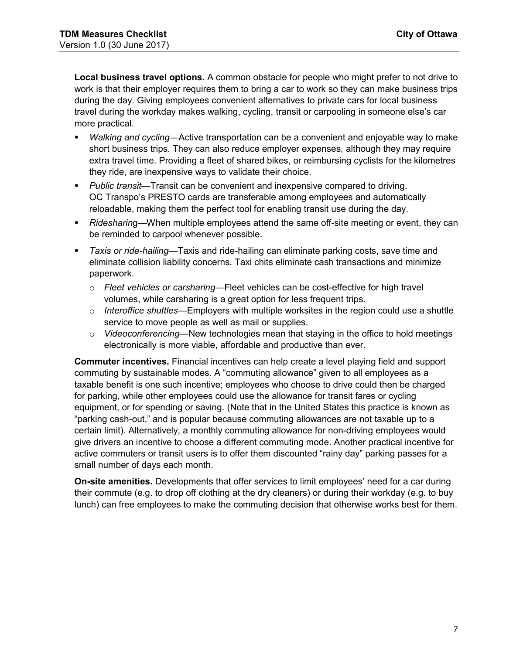**Local business travel options.** A common obstacle for people who might prefer to not drive to work is that their employer requires them to bring a car to work so they can make business trips during the day. Giving employees convenient alternatives to private cars for local business travel during the workday makes walking, cycling, transit or carpooling in someone else's car more practical.

- *Walking and cycling*—Active transportation can be a convenient and enjoyable way to make short business trips. They can also reduce employer expenses, although they may require extra travel time. Providing a fleet of shared bikes, or reimbursing cyclists for the kilometres they ride, are inexpensive ways to validate their choice.
- *Public transit*—Transit can be convenient and inexpensive compared to driving. OC Transpo's PRESTO cards are transferable among employees and automatically reloadable, making them the perfect tool for enabling transit use during the day.
- *Ridesharin*g—When multiple employees attend the same off-site meeting or event, they can be reminded to carpool whenever possible.
- *Taxis or ride-hailing*—Taxis and ride-hailing can eliminate parking costs, save time and eliminate collision liability concerns. Taxi chits eliminate cash transactions and minimize paperwork.
	- *Fleet vehicles or carsharing*—Fleet vehicles can be cost-effective for high travel volumes, while carsharing is a great option for less frequent trips.
	- *Interoffice shuttles*—Employers with multiple worksites in the region could use a shuttle service to move people as well as mail or supplies.
	- *Videoconferencing*—New technologies mean that staying in the office to hold meetings electronically is more viable, affordable and productive than ever.

**Commuter incentives.** Financial incentives can help create a level playing field and support commuting by sustainable modes. A "commuting allowance" given to all employees as a taxable benefit is one such incentive; employees who choose to drive could then be charged for parking, while other employees could use the allowance for transit fares or cycling equipment, or for spending or saving. (Note that in the United States this practice is known as "parking cash-out," and is popular because commuting allowances are not taxable up to a certain limit). Alternatively, a monthly commuting allowance for non-driving employees would give drivers an incentive to choose a different commuting mode. Another practical incentive for active commuters or transit users is to offer them discounted "rainy day" parking passes for a small number of days each month.

**On-site amenities.** Developments that offer services to limit employees' need for a car during their commute (e.g. to drop off clothing at the dry cleaners) or during their workday (e.g. to buy lunch) can free employees to make the commuting decision that otherwise works best for them.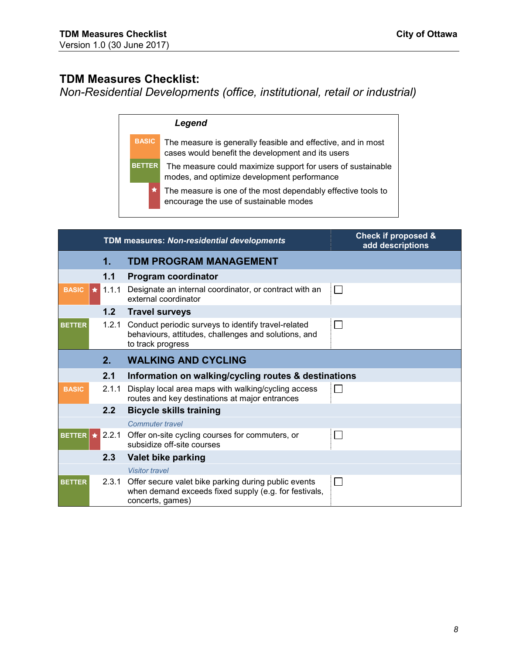## <span id="page-7-0"></span>**TDM Measures Checklist:**

*Non-Residential Developments (office, institutional, retail or industrial)* 

| eaena |
|-------|
|-------|

**BASIC** The measure is generally feasible and effective, and in most cases would benefit the development and its users

**BETTER** The measure could maximize support for users of sustainable modes, and optimize development performance

> The measure is one of the most dependably effective tools to encourage the use of sustainable modes

|                      | TDM measures: Non-residential developments |                                                                                                                                         | <b>Check if proposed &amp;</b><br>add descriptions |
|----------------------|--------------------------------------------|-----------------------------------------------------------------------------------------------------------------------------------------|----------------------------------------------------|
|                      | 1.                                         | <b>TDM PROGRAM MANAGEMENT</b>                                                                                                           |                                                    |
|                      | 1.1                                        | <b>Program coordinator</b>                                                                                                              |                                                    |
| <b>BASIC</b>         | $\star$ 1.1.1                              | Designate an internal coordinator, or contract with an<br>external coordinator                                                          | $\mathbf{I}$                                       |
|                      | 1.2                                        | <b>Travel surveys</b>                                                                                                                   |                                                    |
| <b>BETTER</b>        |                                            | 1.2.1 Conduct periodic surveys to identify travel-related<br>behaviours, attitudes, challenges and solutions, and<br>to track progress  | $\sim$                                             |
|                      | 2.                                         | <b>WALKING AND CYCLING</b>                                                                                                              |                                                    |
|                      | 2.1                                        | Information on walking/cycling routes & destinations                                                                                    |                                                    |
| <b>BASIC</b>         | 2.1.1                                      | Display local area maps with walking/cycling access<br>routes and key destinations at major entrances                                   |                                                    |
|                      | 2.2                                        | <b>Bicycle skills training</b>                                                                                                          |                                                    |
|                      |                                            | <b>Commuter travel</b>                                                                                                                  |                                                    |
| BETTER $\star$ 2.2.1 |                                            | Offer on-site cycling courses for commuters, or<br>subsidize off-site courses                                                           |                                                    |
|                      | 2.3                                        | Valet bike parking                                                                                                                      |                                                    |
|                      |                                            | <b>Visitor travel</b>                                                                                                                   |                                                    |
| <b>BETTER</b>        |                                            | 2.3.1 Offer secure valet bike parking during public events<br>when demand exceeds fixed supply (e.g. for festivals,<br>concerts, games) | $\mathbf{I}$                                       |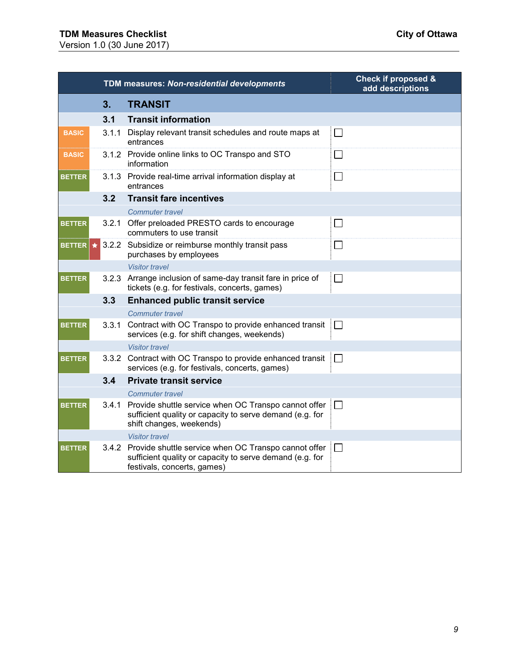# **TDM Measures Checklist City of Ottawa**

Version 1.0 (30 June 2017)

|               |       | TDM measures: Non-residential developments                                                                                                            | <b>Check if proposed &amp;</b><br>add descriptions |
|---------------|-------|-------------------------------------------------------------------------------------------------------------------------------------------------------|----------------------------------------------------|
|               | 3.    | <b>TRANSIT</b>                                                                                                                                        |                                                    |
|               | 3.1   | <b>Transit information</b>                                                                                                                            |                                                    |
| <b>BASIC</b>  | 3.1.1 | Display relevant transit schedules and route maps at<br>entrances                                                                                     | $\Box$                                             |
| <b>BASIC</b>  |       | 3.1.2 Provide online links to OC Transpo and STO<br>information                                                                                       | $\Box$                                             |
| <b>BETTER</b> |       | 3.1.3 Provide real-time arrival information display at<br>entrances                                                                                   | $\Box$                                             |
|               | 3.2   | <b>Transit fare incentives</b>                                                                                                                        |                                                    |
|               |       | <b>Commuter travel</b>                                                                                                                                |                                                    |
| <b>BETTER</b> |       | 3.2.1 Offer preloaded PRESTO cards to encourage<br>commuters to use transit                                                                           | $\Box$                                             |
| <b>BETTER</b> |       | $\star$ 3.2.2 Subsidize or reimburse monthly transit pass<br>purchases by employees                                                                   | $\Box$                                             |
|               |       | <b>Visitor travel</b>                                                                                                                                 |                                                    |
| <b>BETTER</b> |       | 3.2.3 Arrange inclusion of same-day transit fare in price of<br>tickets (e.g. for festivals, concerts, games)                                         | $\Box$                                             |
|               | 3.3   | <b>Enhanced public transit service</b>                                                                                                                |                                                    |
|               |       | <b>Commuter travel</b>                                                                                                                                |                                                    |
| <b>BETTER</b> | 3.3.1 | Contract with OC Transpo to provide enhanced transit<br>services (e.g. for shift changes, weekends)                                                   | $\Box$                                             |
|               |       | <b>Visitor travel</b>                                                                                                                                 |                                                    |
| <b>BETTER</b> |       | 3.3.2 Contract with OC Transpo to provide enhanced transit<br>services (e.g. for festivals, concerts, games)                                          | $\Box$                                             |
|               | 3.4   | <b>Private transit service</b>                                                                                                                        |                                                    |
|               |       | <b>Commuter travel</b>                                                                                                                                |                                                    |
| <b>BETTER</b> |       | 3.4.1 Provide shuttle service when OC Transpo cannot offer<br>sufficient quality or capacity to serve demand (e.g. for<br>shift changes, weekends)    | $\Box$                                             |
|               |       | <b>Visitor travel</b>                                                                                                                                 |                                                    |
| <b>BETTER</b> |       | 3.4.2 Provide shuttle service when OC Transpo cannot offer<br>sufficient quality or capacity to serve demand (e.g. for<br>festivals, concerts, games) | $\Box$                                             |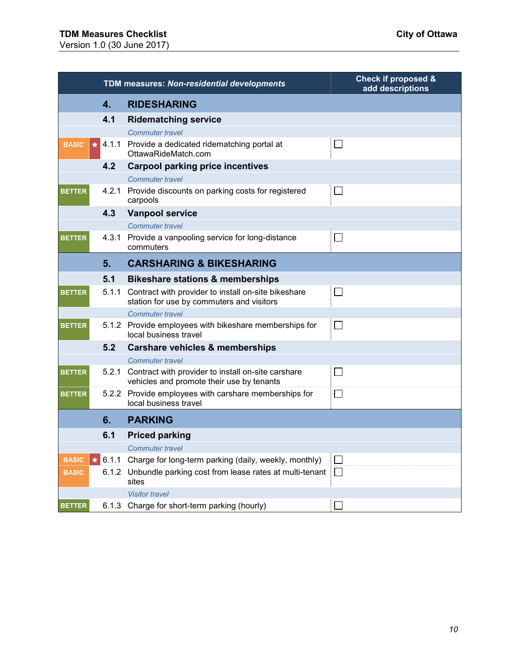|                         |               | TDM measures: Non-residential developments                                                             | <b>Check if proposed &amp;</b><br>add descriptions |
|-------------------------|---------------|--------------------------------------------------------------------------------------------------------|----------------------------------------------------|
|                         | 4.            | <b>RIDESHARING</b>                                                                                     |                                                    |
|                         | 4.1           | <b>Ridematching service</b>                                                                            |                                                    |
|                         |               | <b>Commuter travel</b>                                                                                 |                                                    |
| <b>BASIC</b><br>$\star$ |               | 4.1.1 Provide a dedicated ridematching portal at<br>OttawaRideMatch.com                                |                                                    |
|                         | 4.2           | <b>Carpool parking price incentives</b>                                                                |                                                    |
|                         |               | Commuter travel                                                                                        |                                                    |
| <b>BETTER</b>           |               | 4.2.1 Provide discounts on parking costs for registered<br>carpools                                    | $\Box$                                             |
|                         | 4.3           | <b>Vanpool service</b>                                                                                 |                                                    |
|                         |               | <b>Commuter travel</b>                                                                                 |                                                    |
| <b>BETTER</b>           |               | 4.3.1 Provide a vanpooling service for long-distance<br>commuters                                      | $\Box$                                             |
|                         | 5.            | <b>CARSHARING &amp; BIKESHARING</b>                                                                    |                                                    |
|                         | 5.1           | <b>Bikeshare stations &amp; memberships</b>                                                            |                                                    |
| <b>BETTER</b>           |               | 5.1.1 Contract with provider to install on-site bikeshare<br>station for use by commuters and visitors |                                                    |
|                         |               | <b>Commuter travel</b>                                                                                 |                                                    |
| <b>BETTER</b>           |               | 5.1.2 Provide employees with bikeshare memberships for<br>local business travel                        | $\Box$                                             |
|                         | 5.2           | Carshare vehicles & memberships                                                                        |                                                    |
|                         |               | <b>Commuter travel</b>                                                                                 |                                                    |
| <b>BETTER</b>           |               | 5.2.1 Contract with provider to install on-site carshare<br>vehicles and promote their use by tenants  |                                                    |
| <b>BETTER</b>           |               | 5.2.2 Provide employees with carshare memberships for<br>local business travel                         | $\mathsf{L}$                                       |
|                         | 6.            | <b>PARKING</b>                                                                                         |                                                    |
|                         | 6.1           | <b>Priced parking</b>                                                                                  |                                                    |
|                         |               | <b>Commuter travel</b>                                                                                 |                                                    |
| <b>BASIC</b>            | $\star$ 6.1.1 | Charge for long-term parking (daily, weekly, monthly)                                                  | П                                                  |
| <b>BASIC</b>            | 6.1.2         | Unbundle parking cost from lease rates at multi-tenant<br>sites                                        | $\Box$                                             |
|                         |               | <b>Visitor travel</b>                                                                                  |                                                    |
| <b>BETTER</b>           | 6.1.3         | Charge for short-term parking (hourly)                                                                 |                                                    |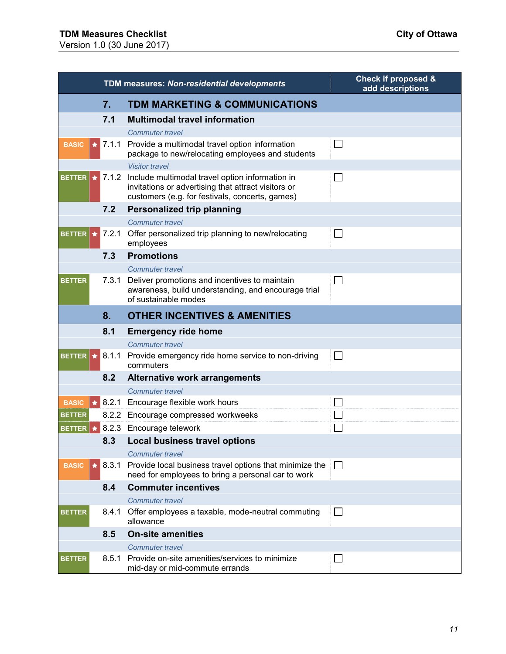# **TDM Measures Checklist City of Ottawa**

Version 1.0 (30 June 2017)

|                          |       | <b>TDM measures: Non-residential developments</b>                                                                                                               | <b>Check if proposed &amp;</b><br>add descriptions |
|--------------------------|-------|-----------------------------------------------------------------------------------------------------------------------------------------------------------------|----------------------------------------------------|
|                          | 7.    | <b>TDM MARKETING &amp; COMMUNICATIONS</b>                                                                                                                       |                                                    |
|                          | 7.1   | <b>Multimodal travel information</b>                                                                                                                            |                                                    |
|                          |       | <b>Commuter travel</b>                                                                                                                                          |                                                    |
| <b>BASIC</b><br>★        | 7.1.1 | Provide a multimodal travel option information<br>package to new/relocating employees and students                                                              | $\Box$                                             |
|                          |       | <b>Visitor travel</b>                                                                                                                                           |                                                    |
| <b>BETTER</b><br>$\star$ |       | 7.1.2 Include multimodal travel option information in<br>invitations or advertising that attract visitors or<br>customers (e.g. for festivals, concerts, games) | $\Box$                                             |
|                          | 7.2   | <b>Personalized trip planning</b>                                                                                                                               |                                                    |
|                          |       | <b>Commuter travel</b>                                                                                                                                          |                                                    |
| <b>BETTER</b><br>★       | 7.2.1 | Offer personalized trip planning to new/relocating<br>employees                                                                                                 | $\Box$                                             |
|                          | 7.3   | <b>Promotions</b>                                                                                                                                               |                                                    |
|                          |       | <b>Commuter travel</b>                                                                                                                                          |                                                    |
| <b>BETTER</b>            | 7.3.1 | Deliver promotions and incentives to maintain<br>awareness, build understanding, and encourage trial<br>of sustainable modes                                    | $\Box$                                             |
|                          | 8.    | <b>OTHER INCENTIVES &amp; AMENITIES</b>                                                                                                                         |                                                    |
|                          | 8.1   | <b>Emergency ride home</b>                                                                                                                                      |                                                    |
|                          |       | <b>Commuter travel</b>                                                                                                                                          |                                                    |
| <b>BETTER</b><br>$\star$ |       | 8.1.1 Provide emergency ride home service to non-driving<br>commuters                                                                                           | $\Box$                                             |
|                          | 8.2   | <b>Alternative work arrangements</b>                                                                                                                            |                                                    |
|                          |       | <b>Commuter travel</b>                                                                                                                                          |                                                    |
| <b>BASIC</b>             |       | $\blacktriangleright$ 8.2.1 Encourage flexible work hours                                                                                                       | $\overline{\phantom{a}}$                           |
| <b>BETTER</b>            |       | 8.2.2 Encourage compressed workweeks                                                                                                                            | $\mathbf{I}$                                       |
| <b>BETTER</b>            |       | 8.2.3 Encourage telework                                                                                                                                        |                                                    |
|                          |       | 8.3 Local business travel options                                                                                                                               |                                                    |
|                          |       | <b>Commuter travel</b>                                                                                                                                          |                                                    |
| <b>BASIC</b>             | 8.3.1 | Provide local business travel options that minimize the<br>need for employees to bring a personal car to work                                                   | $\Box$                                             |
|                          | 8.4   | <b>Commuter incentives</b>                                                                                                                                      |                                                    |
|                          |       | <b>Commuter travel</b>                                                                                                                                          |                                                    |
| <b>BETTER</b>            |       | 8.4.1 Offer employees a taxable, mode-neutral commuting<br>allowance                                                                                            | $\Box$                                             |
|                          | 8.5   | <b>On-site amenities</b>                                                                                                                                        |                                                    |
|                          |       | <b>Commuter travel</b>                                                                                                                                          |                                                    |
| <b>BETTER</b>            | 8.5.1 | Provide on-site amenities/services to minimize<br>mid-day or mid-commute errands                                                                                | $\Box$                                             |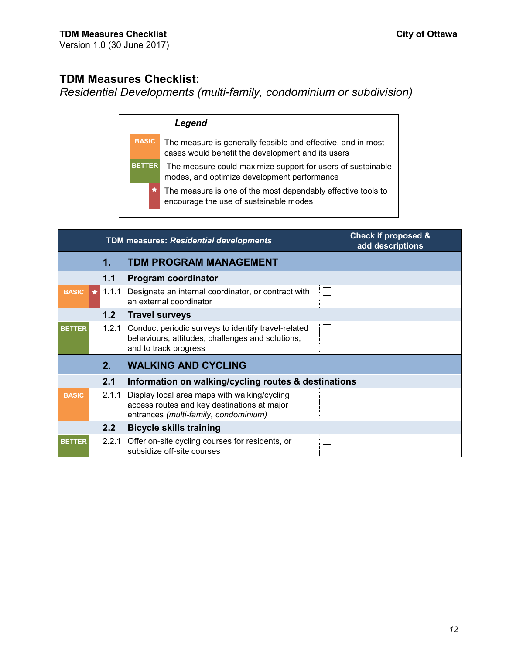## <span id="page-11-0"></span>**TDM Measures Checklist:**

*Residential Developments (multi-family, condominium or subdivision)* 

| eaena |
|-------|
|-------|

**BASIC** The measure is generally feasible and effective, and in most cases would benefit the development and its users

**BETTER** The measure could maximize support for users of sustainable modes, and optimize development performance

> The measure is one of the most dependably effective tools to encourage the use of sustainable modes

|               |               | <b>TDM measures: Residential developments</b>                                                                                        | <b>Check if proposed &amp;</b><br>add descriptions |
|---------------|---------------|--------------------------------------------------------------------------------------------------------------------------------------|----------------------------------------------------|
|               | 1.            | <b>TDM PROGRAM MANAGEMENT</b>                                                                                                        |                                                    |
|               | 1.1           | Program coordinator                                                                                                                  |                                                    |
| <b>BASIC</b>  | $\star$ 1.1.1 | Designate an internal coordinator, or contract with<br>an external coordinator                                                       | П                                                  |
|               | 1.2           | <b>Travel surveys</b>                                                                                                                |                                                    |
| <b>BETTER</b> | 1.2.1         | Conduct periodic surveys to identify travel-related<br>behaviours, attitudes, challenges and solutions,<br>and to track progress     | $\Box$                                             |
|               | $2_{-}$       | <b>WALKING AND CYCLING</b>                                                                                                           |                                                    |
|               | 2.1           | Information on walking/cycling routes & destinations                                                                                 |                                                    |
| <b>BASIC</b>  | 2.1.1         | Display local area maps with walking/cycling<br>access routes and key destinations at major<br>entrances (multi-family, condominium) |                                                    |
|               | $2.2^{\circ}$ | <b>Bicycle skills training</b>                                                                                                       |                                                    |
| <b>BETTER</b> | 2.2.1         | Offer on-site cycling courses for residents, or<br>subsidize off-site courses                                                        |                                                    |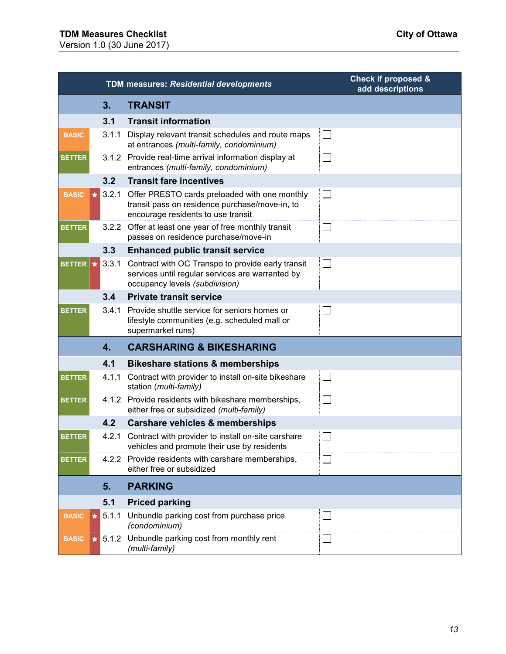|               |            |               | <b>TDM measures: Residential developments</b>                                                                                           | <b>Check if proposed &amp;</b><br>add descriptions |
|---------------|------------|---------------|-----------------------------------------------------------------------------------------------------------------------------------------|----------------------------------------------------|
|               |            | 3.            | <b>TRANSIT</b>                                                                                                                          |                                                    |
|               |            | 3.1           | <b>Transit information</b>                                                                                                              |                                                    |
| <b>BASIC</b>  |            | 3.1.1         | Display relevant transit schedules and route maps<br>at entrances (multi-family, condominium)                                           | $\mathsf{L}$                                       |
| <b>BETTER</b> |            | 3.1.2         | Provide real-time arrival information display at<br>entrances (multi-family, condominium)                                               | $\Box$                                             |
|               |            | 3.2           | <b>Transit fare incentives</b>                                                                                                          |                                                    |
| <b>BASIC</b>  | $\bigstar$ | 3.2.1         | Offer PRESTO cards preloaded with one monthly<br>transit pass on residence purchase/move-in, to<br>encourage residents to use transit   | $\vert$ $\vert$                                    |
| <b>BETTER</b> |            |               | 3.2.2 Offer at least one year of free monthly transit<br>passes on residence purchase/move-in                                           | $\Box$                                             |
|               |            | 3.3           | <b>Enhanced public transit service</b>                                                                                                  |                                                    |
| <b>BETTER</b> | $\star$    | 3.3.1         | Contract with OC Transpo to provide early transit<br>services until regular services are warranted by<br>occupancy levels (subdivision) | $\Box$                                             |
|               |            | 3.4           | <b>Private transit service</b>                                                                                                          |                                                    |
| <b>BETTER</b> |            | 3.4.1         | Provide shuttle service for seniors homes or<br>lifestyle communities (e.g. scheduled mall or<br>supermarket runs)                      |                                                    |
|               |            | 4.            | <b>CARSHARING &amp; BIKESHARING</b>                                                                                                     |                                                    |
|               |            | 4.1           | <b>Bikeshare stations &amp; memberships</b>                                                                                             |                                                    |
| <b>BETTER</b> |            |               | 4.1.1 Contract with provider to install on-site bikeshare<br>station (multi-family)                                                     | $\Box$                                             |
| <b>BETTER</b> |            | 4.1.2         | Provide residents with bikeshare memberships,<br>either free or subsidized (multi-family)                                               | $\Box$                                             |
|               |            | 4.2           | <b>Carshare vehicles &amp; memberships</b>                                                                                              |                                                    |
| <b>BETTER</b> |            | 4.2.1         | Contract with provider to install on-site carshare<br>vehicles and promote their use by residents                                       |                                                    |
| <b>BETTER</b> |            | 4.2.2         | Provide residents with carshare memberships,<br>either free or subsidized                                                               | $\vert$ $\vert$                                    |
|               |            | 5.            | <b>PARKING</b>                                                                                                                          |                                                    |
|               |            | 5.1           | <b>Priced parking</b>                                                                                                                   |                                                    |
| <b>BASIC</b>  | $\bigstar$ | 5.1.1         | Unbundle parking cost from purchase price<br>(condominium)                                                                              | $\mathbb{R}^n$                                     |
| <b>BASIC</b>  |            | $\star$ 5.1.2 | Unbundle parking cost from monthly rent<br>(multi-family)                                                                               | $\Box$                                             |